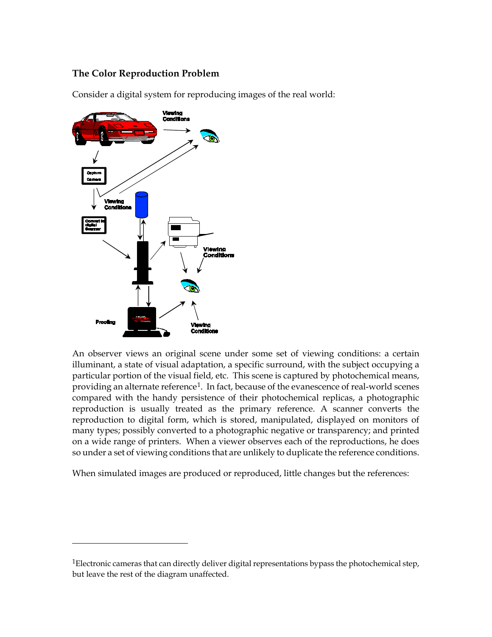## **The Color Reproduction Problem**

Consider a digital system for reproducing images of the real world:



 $\overline{a}$ 

An observer views an original scene under some set of viewing conditions: a certain illuminant, a state of visual adaptation, a specific surround, with the subject occupying a particular portion of the visual field, etc. This scene is captured by photochemical means, providing an alternate reference<sup>1</sup>. In fact, because of the evanescence of real-world scenes compared with the handy persistence of their photochemical replicas, a photographic reproduction is usually treated as the primary reference. A scanner converts the reproduction to digital form, which is stored, manipulated, displayed on monitors of many types; possibly converted to a photographic negative or transparency; and printed on a wide range of printers. When a viewer observes each of the reproductions, he does so under a set of viewing conditions that are unlikely to duplicate the reference conditions.

When simulated images are produced or reproduced, little changes but the references:

<span id="page-0-0"></span><sup>&</sup>lt;sup>1</sup>Electronic cameras that can directly deliver digital representations bypass the photochemical step, but leave the rest of the diagram unaffected.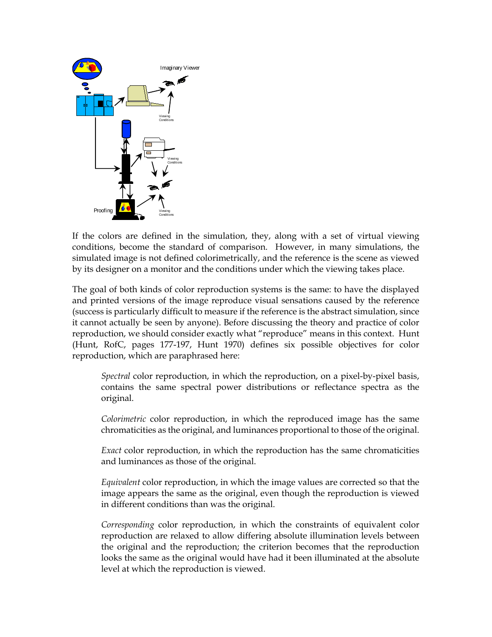

If the colors are defined in the simulation, they, along with a set of virtual viewing conditions, become the standard of comparison. However, in many simulations, the simulated image is not defined colorimetrically, and the reference is the scene as viewed by its designer on a monitor and the conditions under which the viewing takes place.

The goal of both kinds of color reproduction systems is the same: to have the displayed and printed versions of the image reproduce visual sensations caused by the reference (success is particularly difficult to measure if the reference is the abstract simulation, since it cannot actually be seen by anyone). Before discussing the theory and practice of color reproduction, we should consider exactly what "reproduce" means in this context. Hunt (Hunt, RofC, pages 177-197, Hunt 1970) defines six possible objectives for color reproduction, which are paraphrased here:

*Spectral* color reproduction, in which the reproduction, on a pixel-by-pixel basis, contains the same spectral power distributions or reflectance spectra as the original.

*Colorimetric* color reproduction, in which the reproduced image has the same chromaticities as the original, and luminances proportional to those of the original.

*Exact* color reproduction, in which the reproduction has the same chromaticities and luminances as those of the original.

*Equivalent* color reproduction, in which the image values are corrected so that the image appears the same as the original, even though the reproduction is viewed in different conditions than was the original.

*Corresponding* color reproduction, in which the constraints of equivalent color reproduction are relaxed to allow differing absolute illumination levels between the original and the reproduction; the criterion becomes that the reproduction looks the same as the original would have had it been illuminated at the absolute level at which the reproduction is viewed.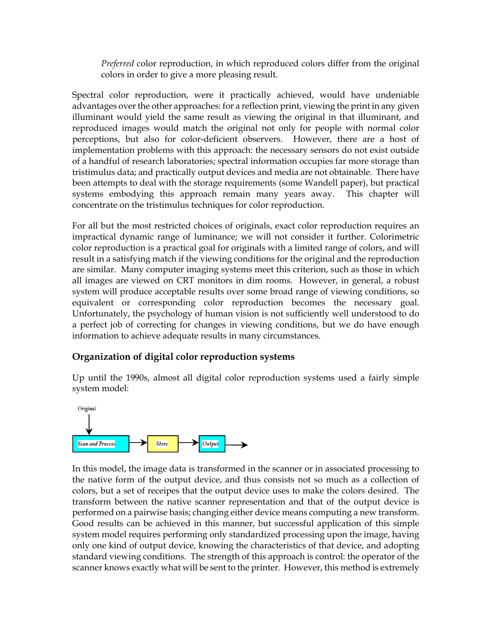*Preferred* color reproduction, in which reproduced colors differ from the original colors in order to give a more pleasing result.

Spectral color reproduction, were it practically achieved, would have undeniable advantages over the other approaches: for a reflection print, viewing the print in any given illuminant would yield the same result as viewing the original in that illuminant, and reproduced images would match the original not only for people with normal color perceptions, but also for color-deficient observers. However, there are a host of implementation problems with this approach: the necessary sensors do not exist outside of a handful of research laboratories; spectral information occupies far more storage than tristimulus data; and practically output devices and media are not obtainable. There have been attempts to deal with the storage requirements (some Wandell paper), but practical systems embodying this approach remain many years away. This chapter will concentrate on the tristimulus techniques for color reproduction.

For all but the most restricted choices of originals, exact color reproduction requires an impractical dynamic range of luminance; we will not consider it further. Colorimetric color reproduction is a practical goal for originals with a limited range of colors, and will result in a satisfying match if the viewing conditions for the original and the reproduction are similar. Many computer imaging systems meet this criterion, such as those in which all images are viewed on CRT monitors in dim rooms. However, in general, a robust system will produce acceptable results over some broad range of viewing conditions, so equivalent or corresponding color reproduction becomes the necessary goal. Unfortunately, the psychology of human vision is not sufficiently well understood to do a perfect job of correcting for changes in viewing conditions, but we do have enough information to achieve adequate results in many circumstances.

## **Organization of digital color reproduction systems**

Up until the 1990s, almost all digital color reproduction systems used a fairly simple system model:



In this model, the image data is transformed in the scanner or in associated processing to the native form of the output device, and thus consists not so much as a collection of colors, but a set of receipes that the output device uses to make the colors desired. The transform between the native scanner representation and that of the output device is performed on a pairwise basis; changing either device means computing a new transform. Good results can be achieved in this manner, but successful application of this simple system model requires performing only standardized processing upon the image, having only one kind of output device, knowing the characteristics of that device, and adopting standard viewing conditions. The strength of this approach is control: the operator of the scanner knows exactly what will be sent to the printer. However, this method is extremely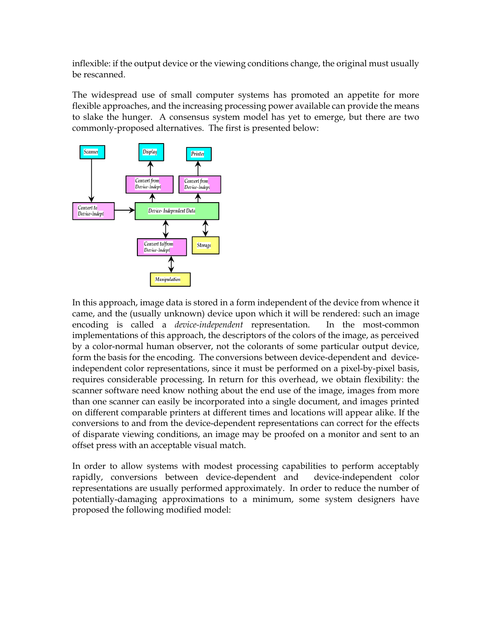inflexible: if the output device or the viewing conditions change, the original must usually be rescanned.

The widespread use of small computer systems has promoted an appetite for more flexible approaches, and the increasing processing power available can provide the means to slake the hunger. A consensus system model has yet to emerge, but there are two commonly-proposed alternatives. The first is presented below:



In this approach, image data is stored in a form independent of the device from whence it came, and the (usually unknown) device upon which it will be rendered: such an image encoding is called a *device-independent* representation. In the most-common implementations of this approach, the descriptors of the colors of the image, as perceived by a color-normal human observer, not the colorants of some particular output device, form the basis for the encoding. The conversions between device-dependent and deviceindependent color representations, since it must be performed on a pixel-by-pixel basis, requires considerable processing. In return for this overhead, we obtain flexibility: the scanner software need know nothing about the end use of the image, images from more than one scanner can easily be incorporated into a single document, and images printed on different comparable printers at different times and locations will appear alike. If the conversions to and from the device-dependent representations can correct for the effects of disparate viewing conditions, an image may be proofed on a monitor and sent to an offset press with an acceptable visual match.

In order to allow systems with modest processing capabilities to perform acceptably rapidly, conversions between device-dependent and device-independent color representations are usually performed approximately. In order to reduce the number of potentially-damaging approximations to a minimum, some system designers have proposed the following modified model: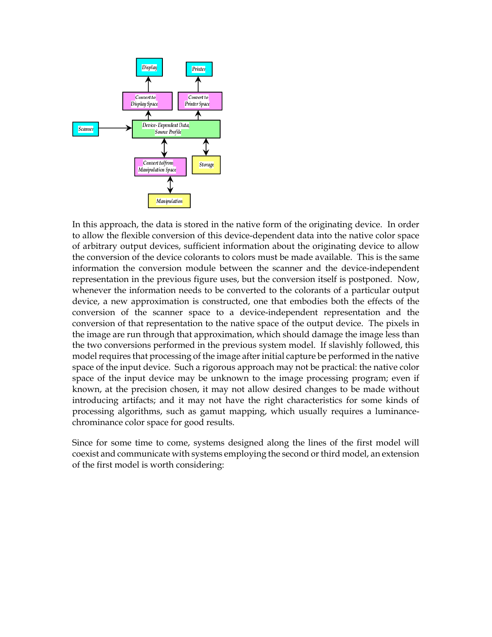

In this approach, the data is stored in the native form of the originating device. In order to allow the flexible conversion of this device-dependent data into the native color space of arbitrary output devices, sufficient information about the originating device to allow the conversion of the device colorants to colors must be made available. This is the same information the conversion module between the scanner and the device-independent representation in the previous figure uses, but the conversion itself is postponed. Now, whenever the information needs to be converted to the colorants of a particular output device, a new approximation is constructed, one that embodies both the effects of the conversion of the scanner space to a device-independent representation and the conversion of that representation to the native space of the output device. The pixels in the image are run through that approximation, which should damage the image less than the two conversions performed in the previous system model. If slavishly followed, this model requires that processing of the image after initial capture be performed in the native space of the input device. Such a rigorous approach may not be practical: the native color space of the input device may be unknown to the image processing program; even if known, at the precision chosen, it may not allow desired changes to be made without introducing artifacts; and it may not have the right characteristics for some kinds of processing algorithms, such as gamut mapping, which usually requires a luminancechrominance color space for good results.

Since for some time to come, systems designed along the lines of the first model will coexist and communicate with systems employing the second or third model, an extension of the first model is worth considering: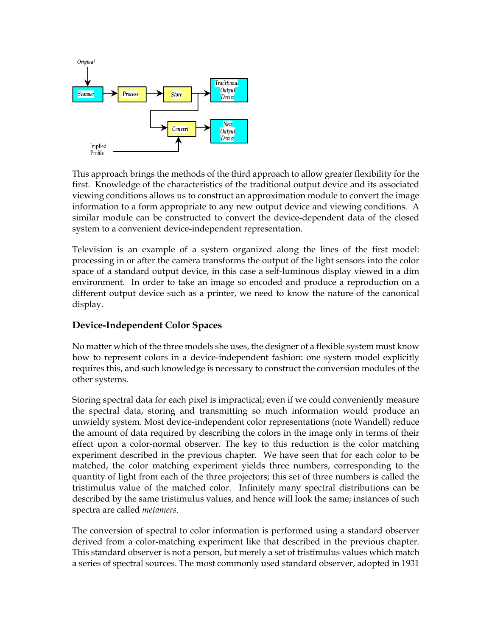

This approach brings the methods of the third approach to allow greater flexibility for the first. Knowledge of the characteristics of the traditional output device and its associated viewing conditions allows us to construct an approximation module to convert the image information to a form appropriate to any new output device and viewing conditions. A similar module can be constructed to convert the device-dependent data of the closed system to a convenient device-independent representation.

Television is an example of a system organized along the lines of the first model: processing in or after the camera transforms the output of the light sensors into the color space of a standard output device, in this case a self-luminous display viewed in a dim environment. In order to take an image so encoded and produce a reproduction on a different output device such as a printer, we need to know the nature of the canonical display.

## **Device-Independent Color Spaces**

No matter which of the three models she uses, the designer of a flexible system must know how to represent colors in a device-independent fashion: one system model explicitly requires this, and such knowledge is necessary to construct the conversion modules of the other systems.

Storing spectral data for each pixel is impractical; even if we could conveniently measure the spectral data, storing and transmitting so much information would produce an unwieldy system. Most device-independent color representations (note Wandell) reduce the amount of data required by describing the colors in the image only in terms of their effect upon a color-normal observer. The key to this reduction is the color matching experiment described in the previous chapter. We have seen that for each color to be matched, the color matching experiment yields three numbers, corresponding to the quantity of light from each of the three projectors; this set of three numbers is called the tristimulus value of the matched color. Infinitely many spectral distributions can be described by the same tristimulus values, and hence will look the same; instances of such spectra are called *metamers*.

The conversion of spectral to color information is performed using a standard observer derived from a color-matching experiment like that described in the previous chapter. This standard observer is not a person, but merely a set of tristimulus values which match a series of spectral sources. The most commonly used standard observer, adopted in 1931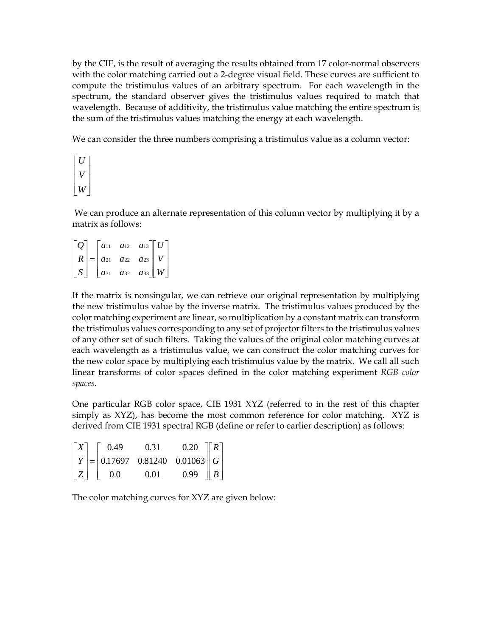by the CIE, is the result of averaging the results obtained from 17 color-normal observers with the color matching carried out a 2-degree visual field. These curves are sufficient to compute the tristimulus values of an arbitrary spectrum. For each wavelength in the spectrum, the standard observer gives the tristimulus values required to match that wavelength. Because of additivity, the tristimulus value matching the entire spectrum is the sum of the tristimulus values matching the energy at each wavelength.

We can consider the three numbers comprising a tristimulus value as a column vector:

$$
\begin{bmatrix} U \\ V \\ W \end{bmatrix}
$$

We can produce an alternate representation of this column vector by multiplying it by a matrix as follows:

*Q R S*  $a_{11}$   $a_{12}$   $a$ *a a a a a a a a a* 31 *a* 32 *a U V W* L L  $\mathbf{r}$  $\overline{\phantom{a}}$ J  $\overline{\phantom{a}}$  $\overline{\phantom{a}}$  $\overline{\phantom{a}}$ = L L  $\mathbf{r}$  $\overline{\phantom{a}}$ J  $\overline{\phantom{a}}$  $\overline{\phantom{a}}$  $\overline{\phantom{a}}$ L L L L  $\mathbf{r}$  $\overline{\phantom{a}}$  $\overline{\phantom{a}}$  $\overline{\phantom{a}}$  $\overline{\phantom{a}}$ J 11  $d_{12}$   $d_{13}$ 21 *a* 22 *a* 23 31 **a**32 **a**33

If the matrix is nonsingular, we can retrieve our original representation by multiplying the new tristimulus value by the inverse matrix. The tristimulus values produced by the color matching experiment are linear, so multiplication by a constant matrix can transform the tristimulus values corresponding to any set of projector filters to the tristimulus values of any other set of such filters. Taking the values of the original color matching curves at each wavelength as a tristimulus value, we can construct the color matching curves for the new color space by multiplying each tristimulus value by the matrix. We call all such linear transforms of color spaces defined in the color matching experiment *RGB color spaces*.

One particular RGB color space, CIE 1931 XYZ (referred to in the rest of this chapter simply as XYZ), has become the most common reference for color matching. XYZ is derived from CIE 1931 spectral RGB (define or refer to earlier description) as follows:

|  |  | $\begin{bmatrix} X \\ Y \\ Z \end{bmatrix} = \begin{bmatrix} 0.49 & 0.31 & 0.20 \\ 0.17697 & 0.81240 & 0.01063 \\ 0.0 & 0.01 & 0.99 \end{bmatrix} \begin{bmatrix} R \\ G \\ B \end{bmatrix}$ |  |  |
|--|--|----------------------------------------------------------------------------------------------------------------------------------------------------------------------------------------------|--|--|
|  |  |                                                                                                                                                                                              |  |  |

The color matching curves for XYZ are given below: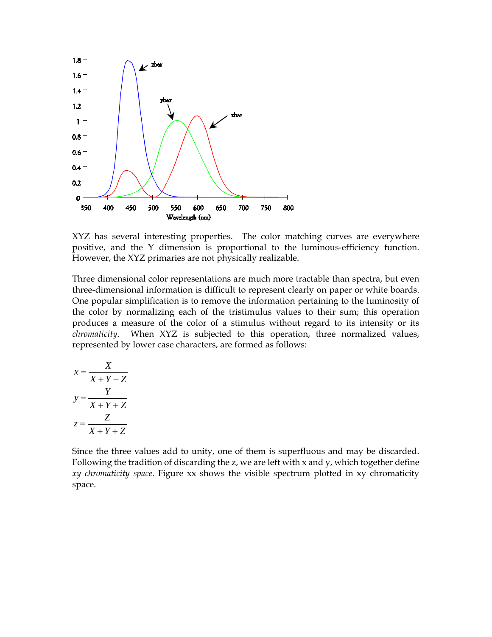

XYZ has several interesting properties. The color matching curves are everywhere positive, and the Y dimension is proportional to the luminous-efficiency function. However, the XYZ primaries are not physically realizable.

Three dimensional color representations are much more tractable than spectra, but even three-dimensional information is difficult to represent clearly on paper or white boards. One popular simplification is to remove the information pertaining to the luminosity of the color by normalizing each of the tristimulus values to their sum; this operation produces a measure of the color of a stimulus without regard to its intensity or its *chromaticity*. When XYZ is subjected to this operation, three normalized values, represented by lower case characters, are formed as follows:

$$
x = \frac{X}{X+Y+Z}
$$

$$
y = \frac{Y}{X+Y+Z}
$$

$$
z = \frac{Z}{X+Y+Z}
$$

Since the three values add to unity, one of them is superfluous and may be discarded. Following the tradition of discarding the z, we are left with x and y, which together define *xy chromaticity space*. Figure xx shows the visible spectrum plotted in xy chromaticity space.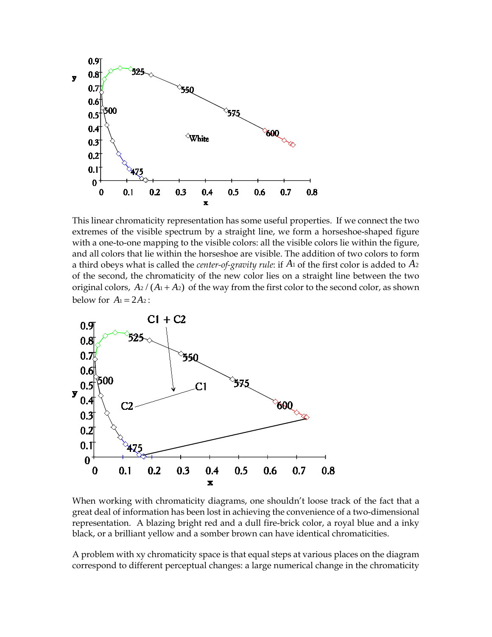

This linear chromaticity representation has some useful properties. If we connect the two extremes of the visible spectrum by a straight line, we form a horseshoe-shaped figure with a one-to-one mapping to the visible colors: all the visible colors lie within the figure, and all colors that lie within the horseshoe are visible. The addition of two colors to form a third obeys what is called the *center-of-gravity rule*: if  $A_1$  of the first color is added to  $A_2$ of the second, the chromaticity of the new color lies on a straight line between the two original colors,  $A_2 / (A_1 + A_2)$  of the way from the first color to the second color, as shown below for  $A_1 = 2A_2$ :



When working with chromaticity diagrams, one shouldn't loose track of the fact that a great deal of information has been lost in achieving the convenience of a two-dimensional representation. A blazing bright red and a dull fire-brick color, a royal blue and a inky black, or a brilliant yellow and a somber brown can have identical chromaticities.

A problem with xy chromaticity space is that equal steps at various places on the diagram correspond to different perceptual changes: a large numerical change in the chromaticity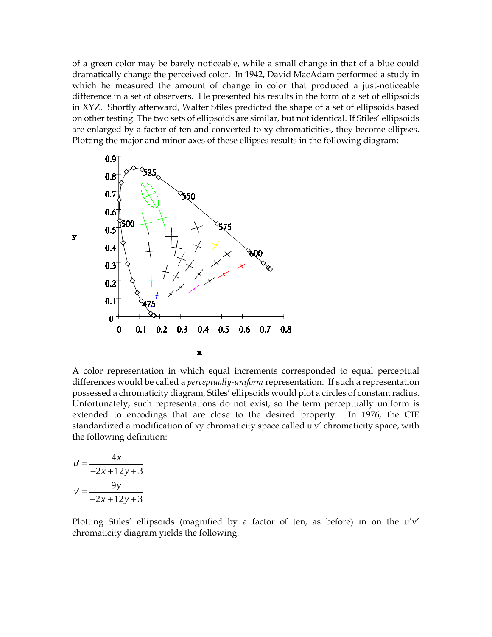of a green color may be barely noticeable, while a small change in that of a blue could dramatically change the perceived color. In 1942, David MacAdam performed a study in which he measured the amount of change in color that produced a just-noticeable difference in a set of observers. He presented his results in the form of a set of ellipsoids in XYZ. Shortly afterward, Walter Stiles predicted the shape of a set of ellipsoids based on other testing. The two sets of ellipsoids are similar, but not identical. If Stiles' ellipsoids are enlarged by a factor of ten and converted to xy chromaticities, they become ellipses. Plotting the major and minor axes of these ellipses results in the following diagram:



A color representation in which equal increments corresponded to equal perceptual differences would be called a *perceptually-uniform* representation. If such a representation possessed a chromaticity diagram, Stiles' ellipsoids would plot a circles of constant radius. Unfortunately, such representations do not exist, so the term perceptually uniform is extended to encodings that are close to the desired property. In 1976, the CIE standardized a modification of xy chromaticity space called u'v' chromaticity space, with the following definition:

$$
u' = \frac{4x}{-2x + 12y + 3}
$$

$$
v' = \frac{9y}{-2x + 12y + 3}
$$

Plotting Stiles' ellipsoids (magnified by a factor of ten, as before) in on the u'v' chromaticity diagram yields the following: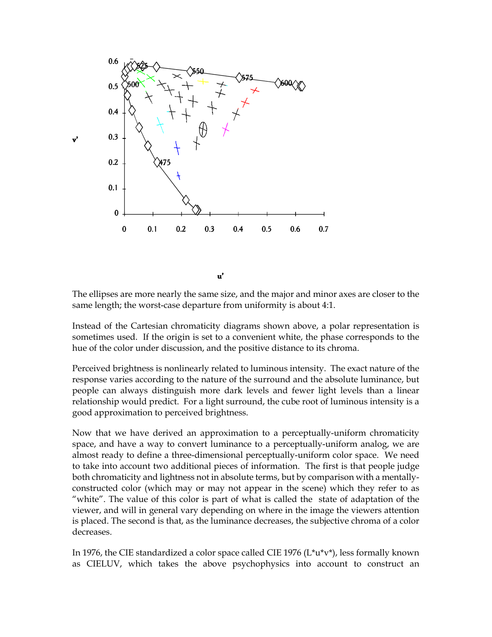

The ellipses are more nearly the same size, and the major and minor axes are closer to the same length; the worst-case departure from uniformity is about 4:1.

Instead of the Cartesian chromaticity diagrams shown above, a polar representation is sometimes used. If the origin is set to a convenient white, the phase corresponds to the hue of the color under discussion, and the positive distance to its chroma.

Perceived brightness is nonlinearly related to luminous intensity. The exact nature of the response varies according to the nature of the surround and the absolute luminance, but people can always distinguish more dark levels and fewer light levels than a linear relationship would predict. For a light surround, the cube root of luminous intensity is a good approximation to perceived brightness.

Now that we have derived an approximation to a perceptually-uniform chromaticity space, and have a way to convert luminance to a perceptually-uniform analog, we are almost ready to define a three-dimensional perceptually-uniform color space. We need to take into account two additional pieces of information. The first is that people judge both chromaticity and lightness not in absolute terms, but by comparison with a mentallyconstructed color (which may or may not appear in the scene) which they refer to as "white". The value of this color is part of what is called the state of adaptation of the viewer, and will in general vary depending on where in the image the viewers attention is placed. The second is that, as the luminance decreases, the subjective chroma of a color decreases.

In 1976, the CIE standardized a color space called CIE 1976 (L\*u\*v\*), less formally known as CIELUV, which takes the above psychophysics into account to construct an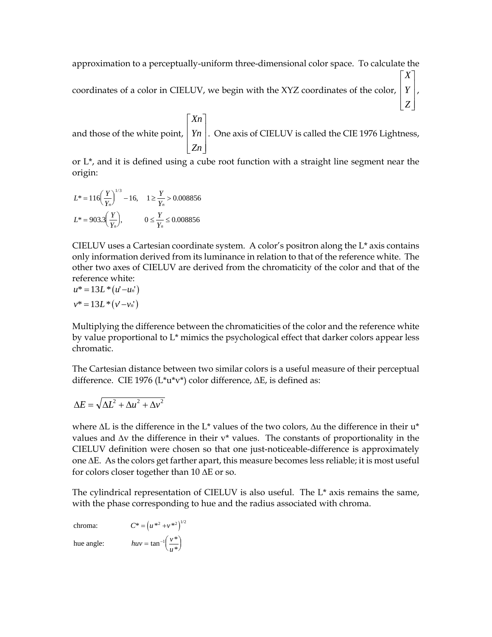approximation to a perceptually-uniform three-dimensional color space. To calculate the coordinates of a color in CIELUV, we begin with the XYZ coordinates of the color, *Y X Z*  $\mathsf{L}$  $\mathbf{r}$  $\overline{\phantom{a}}$  $\overline{\phantom{a}}$  $\vert$ ,

and those of the white point, *Xn Yn Zn* L L L  $\mathbf{r}$  $\overline{\phantom{a}}$ J  $\overline{\phantom{a}}$  $\overline{\phantom{a}}$  $\overline{\phantom{a}}$ . One axis of CIELUV is called the CIE 1976 Lightness,

or L\*, and it is defined using a cube root function with a straight line segment near the origin:

$$
L^* = 116 \left(\frac{Y}{Y_n}\right)^{1/3} - 16, \quad 1 \ge \frac{Y}{Y_n} > 0.008856
$$

$$
L^* = 903.3 \left(\frac{Y}{Y_n}\right), \qquad 0 \le \frac{Y}{Y_n} \le 0.008856
$$

CIELUV uses a Cartesian coordinate system. A color's positron along the  $L^*$  axis contains only information derived from its luminance in relation to that of the reference white. The other two axes of CIELUV are derived from the chromaticity of the color and that of the reference white:

$$
u^* = 13L^* (u'-u_n')
$$
  

$$
v^* = 13L^* (v'-v_n')
$$

Multiplying the difference between the chromaticities of the color and the reference white by value proportional to L\* mimics the psychological effect that darker colors appear less chromatic.

The Cartesian distance between two similar colors is a useful measure of their perceptual difference. CIE 1976 (L\*u\*v\*) color difference, ∆E, is defined as:

$$
\Delta E = \sqrt{\Delta L^2 + \Delta u^2 + \Delta v^2}
$$

where ∆L is the difference in the L\* values of the two colors, ∆u the difference in their u\* values and ∆v the difference in their v\* values. The constants of proportionality in the CIELUV definition were chosen so that one just-noticeable-difference is approximately one ∆E. As the colors get farther apart, this measure becomes less reliable; it is most useful for colors closer together than 10 ∆E or so.

The cylindrical representation of CIELUV is also useful. The  $L^*$  axis remains the same, with the phase corresponding to hue and the radius associated with chroma.

chroma:  $C^* = (u^{*2} + v^{*2})^{1/2}$ hue angle:  $huv = \tan^{-1}\left(\frac{v^*}{u^*}\right)$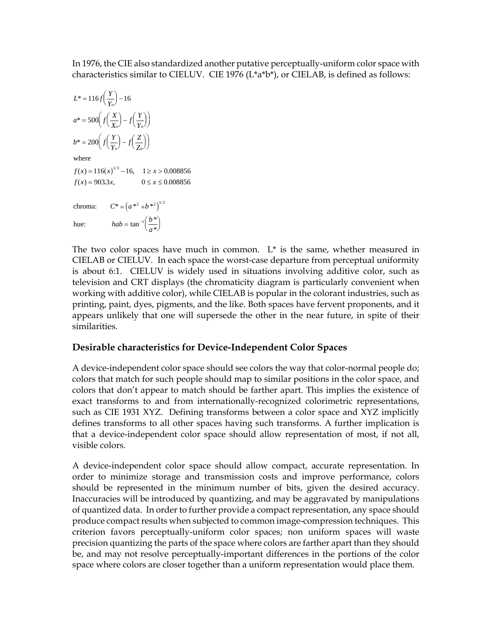In 1976, the CIE also standardized another putative perceptually-uniform color space with characteristics similar to CIELUV. CIE 1976 (L\*a\*b\*), or CIELAB, is defined as follows:

$$
L^* = 116f\left(\frac{Y}{Y_n}\right) - 16
$$
  
\n
$$
a^* = 500\left(f\left(\frac{X}{X_n}\right) - f\left(\frac{Y}{Y_n}\right)\right)
$$
  
\n
$$
b^* = 200\left(f\left(\frac{Y}{Y_n}\right) - f\left(\frac{Z}{Z_n}\right)\right)
$$
  
\nwhere  
\n
$$
f(x) = 116(x)^{1/3} - 16, \quad 1 \ge x > 0.008856
$$
  
\n
$$
f(x) = 903.3x, \qquad 0 \le x \le 0.008856
$$
  
\n
$$
chroma: \qquad C^* = \left(a^{*2} + b^{*2}\right)^{1/2}
$$
  
\nhue: \qquad 
$$
hab = \tan^{-1}\left(\frac{b^*}{a^*}\right)
$$

The two color spaces have much in common.  $L^*$  is the same, whether measured in CIELAB or CIELUV. In each space the worst-case departure from perceptual uniformity is about 6:1. CIELUV is widely used in situations involving additive color, such as television and CRT displays (the chromaticity diagram is particularly convenient when working with additive color), while CIELAB is popular in the colorant industries, such as printing, paint, dyes, pigments, and the like. Both spaces have fervent proponents, and it appears unlikely that one will supersede the other in the near future, in spite of their similarities.

## **Desirable characteristics for Device-Independent Color Spaces**

A device-independent color space should see colors the way that color-normal people do; colors that match for such people should map to similar positions in the color space, and colors that don't appear to match should be farther apart. This implies the existence of exact transforms to and from internationally-recognized colorimetric representations, such as CIE 1931 XYZ. Defining transforms between a color space and XYZ implicitly defines transforms to all other spaces having such transforms. A further implication is that a device-independent color space should allow representation of most, if not all, visible colors.

A device-independent color space should allow compact, accurate representation. In order to minimize storage and transmission costs and improve performance, colors should be represented in the minimum number of bits, given the desired accuracy. Inaccuracies will be introduced by quantizing, and may be aggravated by manipulations of quantized data. In order to further provide a compact representation, any space should produce compact results when subjected to common image-compression techniques. This criterion favors perceptually-uniform color spaces; non uniform spaces will waste precision quantizing the parts of the space where colors are farther apart than they should be, and may not resolve perceptually-important differences in the portions of the color space where colors are closer together than a uniform representation would place them.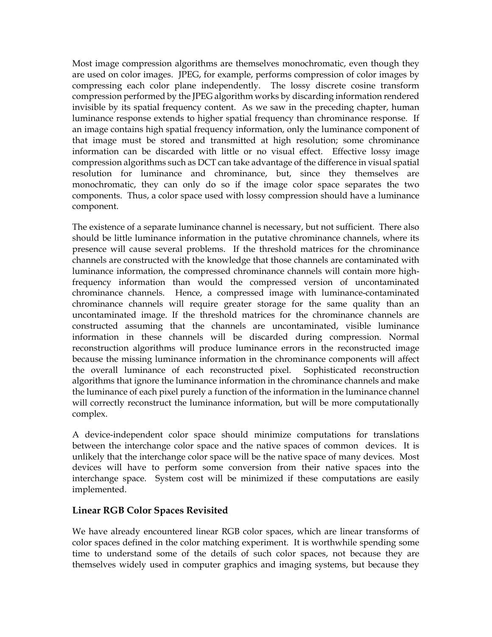Most image compression algorithms are themselves monochromatic, even though they are used on color images. JPEG, for example, performs compression of color images by compressing each color plane independently. The lossy discrete cosine transform compression performed by the JPEG algorithm works by discarding information rendered invisible by its spatial frequency content. As we saw in the preceding chapter, human luminance response extends to higher spatial frequency than chrominance response. If an image contains high spatial frequency information, only the luminance component of that image must be stored and transmitted at high resolution; some chrominance information can be discarded with little or no visual effect. Effective lossy image compression algorithms such as DCT can take advantage of the difference in visual spatial resolution for luminance and chrominance, but, since they themselves are monochromatic, they can only do so if the image color space separates the two components. Thus, a color space used with lossy compression should have a luminance component.

The existence of a separate luminance channel is necessary, but not sufficient. There also should be little luminance information in the putative chrominance channels, where its presence will cause several problems. If the threshold matrices for the chrominance channels are constructed with the knowledge that those channels are contaminated with luminance information, the compressed chrominance channels will contain more highfrequency information than would the compressed version of uncontaminated chrominance channels. Hence, a compressed image with luminance-contaminated chrominance channels will require greater storage for the same quality than an uncontaminated image. If the threshold matrices for the chrominance channels are constructed assuming that the channels are uncontaminated, visible luminance information in these channels will be discarded during compression. Normal reconstruction algorithms will produce luminance errors in the reconstructed image because the missing luminance information in the chrominance components will affect the overall luminance of each reconstructed pixel. Sophisticated reconstruction algorithms that ignore the luminance information in the chrominance channels and make the luminance of each pixel purely a function of the information in the luminance channel will correctly reconstruct the luminance information, but will be more computationally complex.

A device-independent color space should minimize computations for translations between the interchange color space and the native spaces of common devices. It is unlikely that the interchange color space will be the native space of many devices. Most devices will have to perform some conversion from their native spaces into the interchange space. System cost will be minimized if these computations are easily implemented.

## **Linear RGB Color Spaces Revisited**

We have already encountered linear RGB color spaces, which are linear transforms of color spaces defined in the color matching experiment. It is worthwhile spending some time to understand some of the details of such color spaces, not because they are themselves widely used in computer graphics and imaging systems, but because they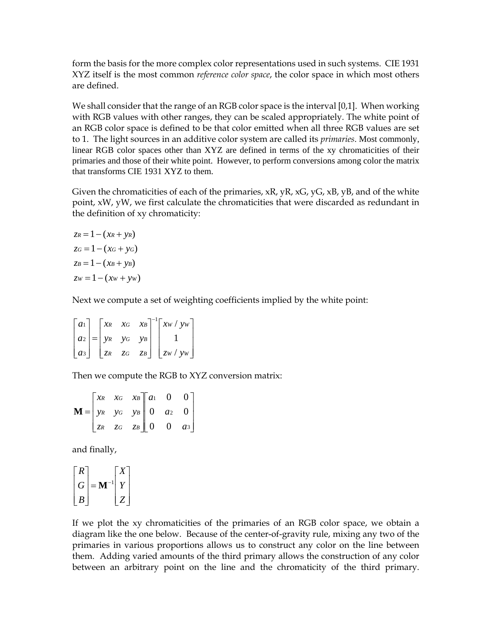form the basis for the more complex color representations used in such systems. CIE 1931 XYZ itself is the most common *reference color space*, the color space in which most others are defined.

We shall consider that the range of an RGB color space is the interval [0,1]. When working with RGB values with other ranges, they can be scaled appropriately. The white point of an RGB color space is defined to be that color emitted when all three RGB values are set to 1. The light sources in an additive color system are called its *primaries*. Most commonly, linear RGB color spaces other than XYZ are defined in terms of the xy chromaticities of their primaries and those of their white point. However, to perform conversions among color the matrix that transforms CIE 1931 XYZ to them.

Given the chromaticities of each of the primaries,  $xR$ ,  $yR$ ,  $xG$ ,  $yG$ ,  $xB$ ,  $yB$ , and of the white point, xW, yW, we first calculate the chromaticities that were discarded as redundant in the definition of xy chromaticity:

 $z_R = 1 - (x_R + y_R)$  $z_G = 1 - (x_G + y_G)$  $z_B = 1 - (x_B + y_B)$  $zw = 1 - (xw + yw)$ 

Next we compute a set of weighting coefficients implied by the white point:

| $ a_1 $ |  |                       | $\begin{bmatrix} x_R & x_G & x_B \end{bmatrix}^{-1} \begin{bmatrix} x_W / y_W \end{bmatrix}$ |
|---------|--|-----------------------|----------------------------------------------------------------------------------------------|
|         |  | $ az  =  yx y_G y_B $ |                                                                                              |
| $ a_3 $ |  |                       | $\begin{vmatrix} zR & ZG & ZB \end{vmatrix}$ $\begin{vmatrix} zw/yW \end{vmatrix}$           |

Then we compute the RGB to XYZ conversion matrix:

|                                                                                                          | $\begin{bmatrix} x_R & x_G & x_B \end{bmatrix} a_1 \quad 0 \quad 0$ |  |  |
|----------------------------------------------------------------------------------------------------------|---------------------------------------------------------------------|--|--|
| $\mathbf{M} = \begin{vmatrix} y_R & y_G & y_B \end{vmatrix} = \begin{vmatrix} 0 & a_2 & 0 \end{vmatrix}$ |                                                                     |  |  |
|                                                                                                          | $\begin{bmatrix} z_R & z_G & z_B \end{bmatrix}$ 0 0 as              |  |  |

and finally,

$$
\begin{bmatrix} R \\ G \\ B \end{bmatrix} = \mathbf{M}^{-1} \begin{bmatrix} X \\ Y \\ Z \end{bmatrix}
$$

If we plot the xy chromaticities of the primaries of an RGB color space, we obtain a diagram like the one below. Because of the center-of-gravity rule, mixing any two of the primaries in various proportions allows us to construct any color on the line between them. Adding varied amounts of the third primary allows the construction of any color between an arbitrary point on the line and the chromaticity of the third primary.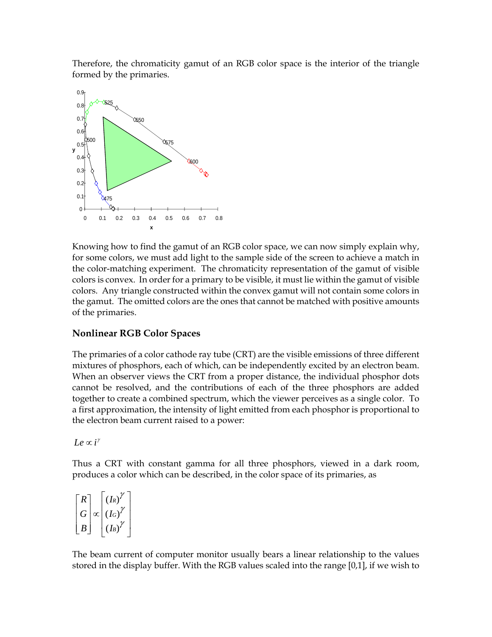Therefore, the chromaticity gamut of an RGB color space is the interior of the triangle formed by the primaries.



Knowing how to find the gamut of an RGB color space, we can now simply explain why, for some colors, we must add light to the sample side of the screen to achieve a match in the color-matching experiment. The chromaticity representation of the gamut of visible colors is convex. In order for a primary to be visible, it must lie within the gamut of visible colors. Any triangle constructed within the convex gamut will not contain some colors in the gamut. The omitted colors are the ones that cannot be matched with positive amounts of the primaries.

## **Nonlinear RGB Color Spaces**

The primaries of a color cathode ray tube (CRT) are the visible emissions of three different mixtures of phosphors, each of which, can be independently excited by an electron beam. When an observer views the CRT from a proper distance, the individual phosphor dots cannot be resolved, and the contributions of each of the three phosphors are added together to create a combined spectrum, which the viewer perceives as a single color. To a first approximation, the intensity of light emitted from each phosphor is proportional to the electron beam current raised to a power:

 $Le \propto i^{\gamma}$ 

Thus a CRT with constant gamma for all three phosphors, viewed in a dark room, produces a color which can be described, in the color space of its primaries, as

*R G B I I I R G B*  $\overline{ }$ L  $\overline{ }$  $\overline{a}$  $\mathsf{L}$  $\overline{\phantom{a}}$ J  $\overline{\phantom{a}}$  $\overline{\phantom{a}}$  $\overline{\phantom{a}}$ ∝  $\overline{a}$ L  $\overline{ }$  $\overline{ }$  $\mathbf{r}$  $\overline{\phantom{a}}$  $\rfloor$  $\overline{\phantom{a}}$  $\overline{\phantom{a}}$  $\overline{\phantom{a}}$  $(I_R)$  $(I_G)$  $(I_B)$ γ γ γ

The beam current of computer monitor usually bears a linear relationship to the values stored in the display buffer. With the RGB values scaled into the range [0,1], if we wish to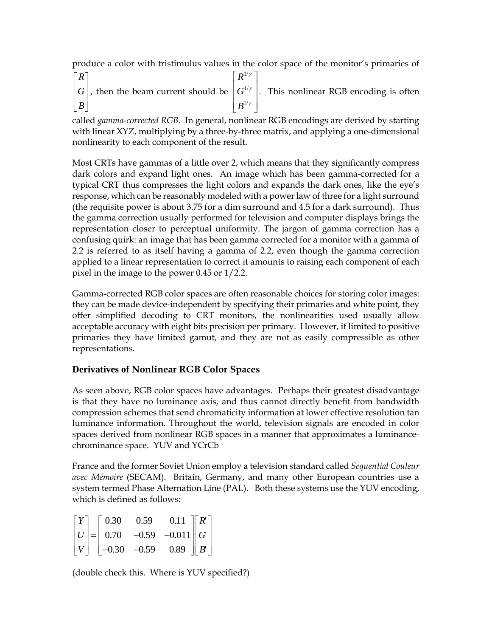produce a color with tristimulus values in the color space of the monitor's primaries of

*R G B*  $\mathsf{L}$ L  $\mathsf{L}$  $\mathsf{L}$  $|B|$  $\overline{\phantom{a}}$ J  $\overline{\phantom{a}}$  $\overline{\phantom{a}}$  $\overline{\phantom{a}}$ , then the beam current should be *R G B* 1 1 1 / / / γ γ γ  $\overline{ }$ L  $\overline{a}$  $\overline{ }$  $\mathbf{r}$  $\overline{\phantom{a}}$  $\overline{\phantom{a}}$  $\overline{\phantom{a}}$  $\overline{\phantom{a}}$  $\overline{\phantom{a}}$ . This nonlinear RGB encoding is often

called *gamma-corrected RGB*. In general, nonlinear RGB encodings are derived by starting with linear XYZ, multiplying by a three-by-three matrix, and applying a one-dimensional nonlinearity to each component of the result.

Most CRTs have gammas of a little over 2, which means that they significantly compress dark colors and expand light ones. An image which has been gamma-corrected for a typical CRT thus compresses the light colors and expands the dark ones, like the eye's response, which can be reasonably modeled with a power law of three for a light surround (the requisite power is about 3.75 for a dim surround and 4.5 for a dark surround). Thus the gamma correction usually performed for television and computer displays brings the representation closer to perceptual uniformity. The jargon of gamma correction has a confusing quirk: an image that has been gamma corrected for a monitor with a gamma of 2.2 is referred to as itself having a gamma of 2.2, even though the gamma correction applied to a linear representation to correct it amounts to raising each component of each pixel in the image to the power 0.45 or 1/2.2.

Gamma-corrected RGB color spaces are often reasonable choices for storing color images: they can be made device-independent by specifying their primaries and white point, they offer simplified decoding to CRT monitors, the nonlinearities used usually allow acceptable accuracy with eight bits precision per primary. However, if limited to positive primaries they have limited gamut, and they are not as easily compressible as other representations.

# **Derivatives of Nonlinear RGB Color Spaces**

As seen above, RGB color spaces have advantages. Perhaps their greatest disadvantage is that they have no luminance axis, and thus cannot directly benefit from bandwidth compression schemes that send chromaticity information at lower effective resolution tan luminance information. Throughout the world, television signals are encoded in color spaces derived from nonlinear RGB spaces in a manner that approximates a luminancechrominance space. YUV and YCrCb

France and the former Soviet Union employ a television standard called *Sequential Couleur avec Mémoire* (SECAM). Britain, Germany, and many other European countries use a system termed Phase Alternation Line (PAL). Both these systems use the YUV encoding, which is defined as follows:

$$
\begin{bmatrix} Y \\ U \\ V \end{bmatrix} = \begin{bmatrix} 0.30 & 0.59 & 0.11 \\ 0.70 & -0.59 & -0.011 \\ -0.30 & -0.59 & 0.89 \end{bmatrix} \begin{bmatrix} R \\ G \\ B \end{bmatrix}
$$

(double check this. Where is YUV specified?)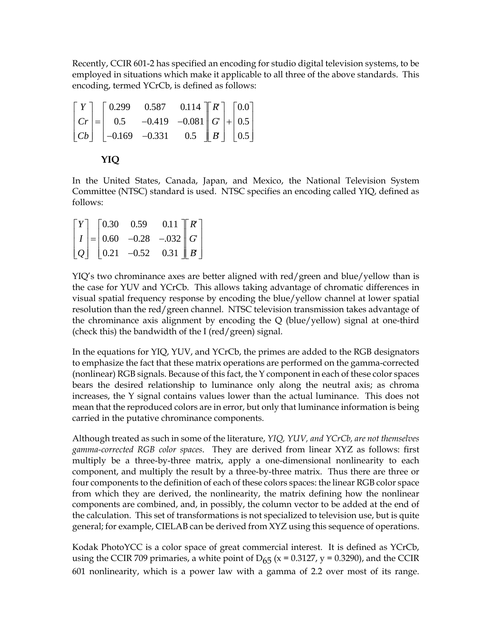Recently, CCIR 601-2 has specified an encoding for studio digital television systems, to be employed in situations which make it applicable to all three of the above standards. This encoding, termed YCrCb, is defined as follows:

$$
\begin{bmatrix} Y \\ Cr \\ Cb \end{bmatrix} = \begin{bmatrix} 0.299 & 0.587 & 0.114 \\ 0.5 & -0.419 & -0.081 \\ -0.169 & -0.331 & 0.5 \end{bmatrix} \begin{bmatrix} R \\ G \\ B \end{bmatrix} + \begin{bmatrix} 0.0 \\ 0.5 \\ 0.5 \end{bmatrix}
$$

$$
\mathbf{Y} \mathbf{I} \mathbf{Q}
$$

In the United States, Canada, Japan, and Mexico, the National Television System Committee (NTSC) standard is used. NTSC specifies an encoding called YIQ, defined as follows:

|  | $\begin{bmatrix} Y \end{bmatrix}$ $\begin{bmatrix} 0.30 & 0.59 \end{bmatrix}$ | $0.11$ $\left[\n\begin{array}{c} R' \end{array}\n\right]$     |  |
|--|-------------------------------------------------------------------------------|---------------------------------------------------------------|--|
|  |                                                                               | $\vert I \vert = \vert 0.60 \, -0.28 \, -0.032 \vert G \vert$ |  |
|  |                                                                               | $ Q $ 0.21 -0.52 0.31   B                                     |  |

YIQ's two chrominance axes are better aligned with red/green and blue/yellow than is the case for YUV and YCrCb. This allows taking advantage of chromatic differences in visual spatial frequency response by encoding the blue/yellow channel at lower spatial resolution than the red/green channel. NTSC television transmission takes advantage of the chrominance axis alignment by encoding the Q (blue/yellow) signal at one-third (check this) the bandwidth of the I (red/green) signal.

In the equations for YIQ, YUV, and YCrCb, the primes are added to the RGB designators to emphasize the fact that these matrix operations are performed on the gamma-corrected (nonlinear) RGB signals. Because of this fact, the Y component in each of these color spaces bears the desired relationship to luminance only along the neutral axis; as chroma increases, the Y signal contains values lower than the actual luminance. This does not mean that the reproduced colors are in error, but only that luminance information is being carried in the putative chrominance components.

Although treated as such in some of the literature, *YIQ, YUV, and YCrCb, are not themselves gamma-corrected RGB color spaces*. They are derived from linear XYZ as follows: first multiply be a three-by-three matrix, apply a one-dimensional nonlinearity to each component, and multiply the result by a three-by-three matrix. Thus there are three or four components to the definition of each of these colors spaces: the linear RGB color space from which they are derived, the nonlinearity, the matrix defining how the nonlinear components are combined, and, in possibly, the column vector to be added at the end of the calculation. This set of transformations is not specialized to television use, but is quite general; for example, CIELAB can be derived from XYZ using this sequence of operations.

Kodak PhotoYCC is a color space of great commercial interest. It is defined as YCrCb, using the CCIR 709 primaries, a white point of  $D_{65}$  (x = 0.3127, y = 0.3290), and the CCIR 601 nonlinearity, which is a power law with a gamma of 2.2 over most of its range.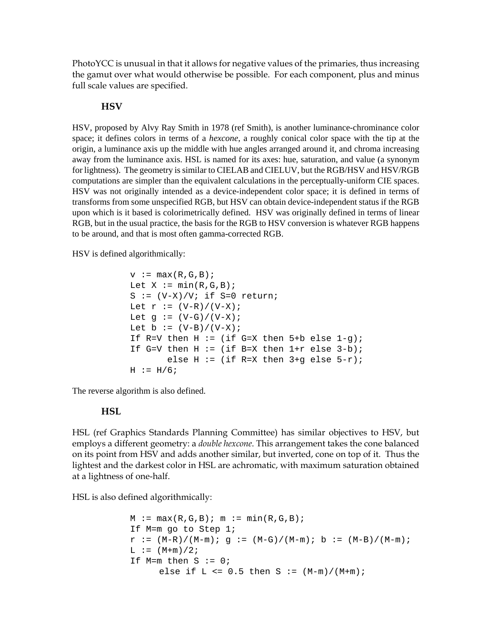PhotoYCC is unusual in that it allows for negative values of the primaries, thus increasing the gamut over what would otherwise be possible. For each component, plus and minus full scale values are specified.

#### **HSV**

HSV, proposed by Alvy Ray Smith in 1978 (ref Smith), is another luminance-chrominance color space; it defines colors in terms of a *hexcone*, a roughly conical color space with the tip at the origin, a luminance axis up the middle with hue angles arranged around it, and chroma increasing away from the luminance axis. HSL is named for its axes: hue, saturation, and value (a synonym for lightness). The geometry is similar to CIELAB and CIELUV, but the RGB/HSV and HSV/RGB computations are simpler than the equivalent calculations in the perceptually-uniform CIE spaces. HSV was not originally intended as a device-independent color space; it is defined in terms of transforms from some unspecified RGB, but HSV can obtain device-independent status if the RGB upon which is it based is colorimetrically defined. HSV was originally defined in terms of linear RGB, but in the usual practice, the basis for the RGB to HSV conversion is whatever RGB happens to be around, and that is most often gamma-corrected RGB.

HSV is defined algorithmically:

```
v := max(R, G, B);
Let X := min(R, G, B);
S := (V-X)/V; if S=0 return;
Let r := (V-R)/(V-X);
Let g := (V-G)/(V-X);
Let b := (V-B)/(V-X);
If R=V then H := (if G=X then 5+b else 1-q);
If G=V then H := (if B=X then 1+r else 3-b);
       else H := (if R=X then 3+q else 5-r);
H := H/6;
```
The reverse algorithm is also defined.

## **HSL**

HSL (ref Graphics Standards Planning Committee) has similar objectives to HSV, but employs a different geometry: a *double hexcone*. This arrangement takes the cone balanced on its point from HSV and adds another similar, but inverted, cone on top of it. Thus the lightest and the darkest color in HSL are achromatic, with maximum saturation obtained at a lightness of one-half.

HSL is also defined algorithmically:

```
M := \max(R, G, B); m := \min(R, G, B);
If M=m go to Step 1;
r := (M-R)/(M-m); g := (M-G)/(M-m); b := (M-B)/(M-m);L := (M+m)/2;If M=m then S := 0;
     else if L \le 0.5 then S := (M-m)/(M+m);
```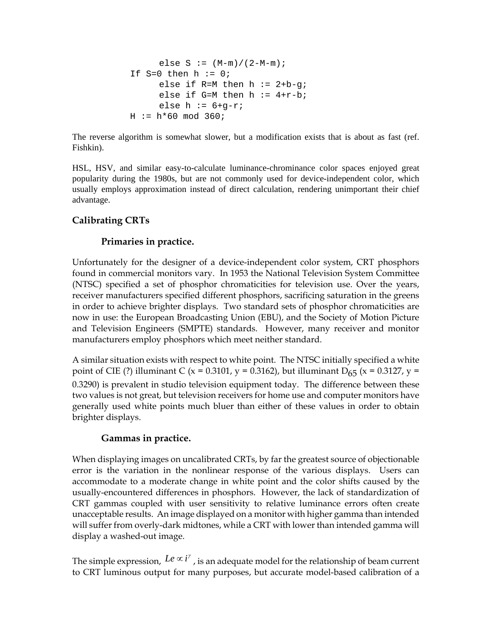```
else S := (M-m)/(2-M-m);If S=0 then h := 0;
     else if R=M then h := 2+b-g;
     else if G=M then h := 4+r-b;
     else h := 6+q-r;
H := h*60 \mod 360;
```
The reverse algorithm is somewhat slower, but a modification exists that is about as fast (ref. Fishkin).

HSL, HSV, and similar easy-to-calculate luminance-chrominance color spaces enjoyed great popularity during the 1980s, but are not commonly used for device-independent color, which usually employs approximation instead of direct calculation, rendering unimportant their chief advantage.

## **Calibrating CRTs**

### **Primaries in practice.**

Unfortunately for the designer of a device-independent color system, CRT phosphors found in commercial monitors vary. In 1953 the National Television System Committee (NTSC) specified a set of phosphor chromaticities for television use. Over the years, receiver manufacturers specified different phosphors, sacrificing saturation in the greens in order to achieve brighter displays. Two standard sets of phosphor chromaticities are now in use: the European Broadcasting Union (EBU), and the Society of Motion Picture and Television Engineers (SMPTE) standards. However, many receiver and monitor manufacturers employ phosphors which meet neither standard.

A similar situation exists with respect to white point. The NTSC initially specified a white point of CIE (?) illuminant C (x = 0.3101, y = 0.3162), but illuminant D<sub>65</sub> (x = 0.3127, y = 0.3290) is prevalent in studio television equipment today. The difference between these two values is not great, but television receivers for home use and computer monitors have generally used white points much bluer than either of these values in order to obtain brighter displays.

## **Gammas in practice.**

When displaying images on uncalibrated CRTs, by far the greatest source of objectionable error is the variation in the nonlinear response of the various displays. Users can accommodate to a moderate change in white point and the color shifts caused by the usually-encountered differences in phosphors. However, the lack of standardization of CRT gammas coupled with user sensitivity to relative luminance errors often create unacceptable results. An image displayed on a monitor with higher gamma than intended will suffer from overly-dark midtones, while a CRT with lower than intended gamma will display a washed-out image.

The simple expression,  $Le \propto i^{\gamma}$ , is an adequate model for the relationship of beam current to CRT luminous output for many purposes, but accurate model-based calibration of a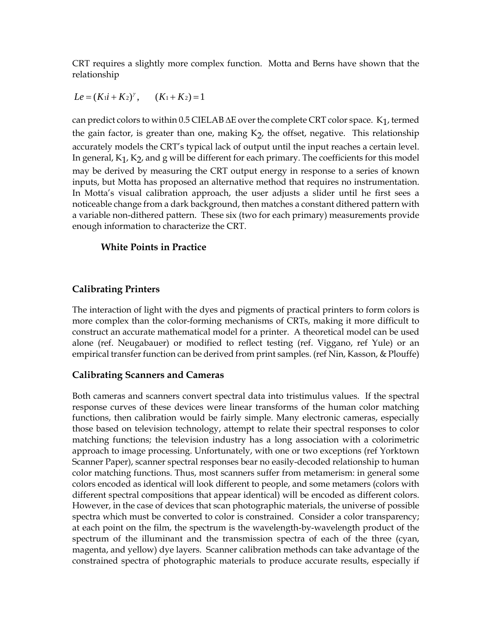CRT requires a slightly more complex function. Motta and Berns have shown that the relationship

 $Le = (Ki + K_2)^{\gamma}$ ,  $(K_1 + K_2) = 1$ 

can predict colors to within 0.5 CIELAB  $\Delta E$  over the complete CRT color space. K<sub>1</sub>, termed the gain factor, is greater than one, making  $K<sub>2</sub>$ , the offset, negative. This relationship accurately models the CRT's typical lack of output until the input reaches a certain level. In general,  $K_1$ ,  $K_2$ , and g will be different for each primary. The coefficients for this model may be derived by measuring the CRT output energy in response to a series of known inputs, but Motta has proposed an alternative method that requires no instrumentation. In Motta's visual calibration approach, the user adjusts a slider until he first sees a noticeable change from a dark background, then matches a constant dithered pattern with a variable non-dithered pattern. These six (two for each primary) measurements provide enough information to characterize the CRT.

### **White Points in Practice**

## **Calibrating Printers**

The interaction of light with the dyes and pigments of practical printers to form colors is more complex than the color-forming mechanisms of CRTs, making it more difficult to construct an accurate mathematical model for a printer. A theoretical model can be used alone (ref. Neugabauer) or modified to reflect testing (ref. Viggano, ref Yule) or an empirical transfer function can be derived from print samples. (ref Nin, Kasson, & Plouffe)

## **Calibrating Scanners and Cameras**

Both cameras and scanners convert spectral data into tristimulus values. If the spectral response curves of these devices were linear transforms of the human color matching functions, then calibration would be fairly simple. Many electronic cameras, especially those based on television technology, attempt to relate their spectral responses to color matching functions; the television industry has a long association with a colorimetric approach to image processing. Unfortunately, with one or two exceptions (ref Yorktown Scanner Paper), scanner spectral responses bear no easily-decoded relationship to human color matching functions. Thus, most scanners suffer from metamerism: in general some colors encoded as identical will look different to people, and some metamers (colors with different spectral compositions that appear identical) will be encoded as different colors. However, in the case of devices that scan photographic materials, the universe of possible spectra which must be converted to color is constrained. Consider a color transparency; at each point on the film, the spectrum is the wavelength-by-wavelength product of the spectrum of the illuminant and the transmission spectra of each of the three (cyan, magenta, and yellow) dye layers. Scanner calibration methods can take advantage of the constrained spectra of photographic materials to produce accurate results, especially if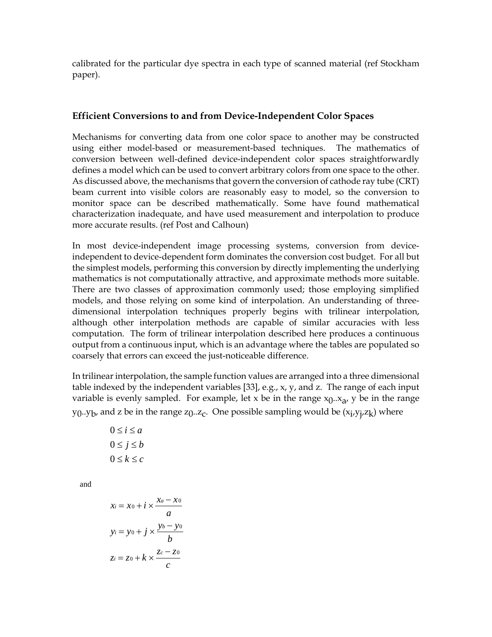calibrated for the particular dye spectra in each type of scanned material (ref Stockham paper).

#### **Efficient Conversions to and from Device-Independent Color Spaces**

Mechanisms for converting data from one color space to another may be constructed using either model-based or measurement-based techniques. The mathematics of conversion between well-defined device-independent color spaces straightforwardly defines a model which can be used to convert arbitrary colors from one space to the other. As discussed above, the mechanisms that govern the conversion of cathode ray tube (CRT) beam current into visible colors are reasonably easy to model, so the conversion to monitor space can be described mathematically. Some have found mathematical characterization inadequate, and have used measurement and interpolation to produce more accurate results. (ref Post and Calhoun)

In most device-independent image processing systems, conversion from deviceindependent to device-dependent form dominates the conversion cost budget. For all but the simplest models, performing this conversion by directly implementing the underlying mathematics is not computationally attractive, and approximate methods more suitable. There are two classes of approximation commonly used; those employing simplified models, and those relying on some kind of interpolation. An understanding of threedimensional interpolation techniques properly begins with trilinear interpolation, although other interpolation methods are capable of similar accuracies with less computation. The form of trilinear interpolation described here produces a continuous output from a continuous input, which is an advantage where the tables are populated so coarsely that errors can exceed the just-noticeable difference.

In trilinear interpolation, the sample function values are arranged into a three dimensional table indexed by the independent variables [33], e.g., x, y, and z. The range of each input variable is evenly sampled. For example, let x be in the range  $x_0.x_a$ , y be in the range y<sub>0</sub>..y<sub>b</sub>, and z be in the range z<sub>0</sub>..z<sub>c</sub>. One possible sampling would be (x<sub>i</sub>,y<sub>j</sub>,z<sub>k</sub>) where

| $0 \leq i \leq a$ |
|-------------------|
| $0 \leq j \leq b$ |
| $0 \leq k \leq c$ |

and

$$
x_i = x_0 + i \times \frac{x_a - x_0}{a}
$$
  

$$
y_i = y_0 + j \times \frac{y_b - y_0}{b}
$$
  

$$
z_i = z_0 + k \times \frac{z_c - z_0}{c}
$$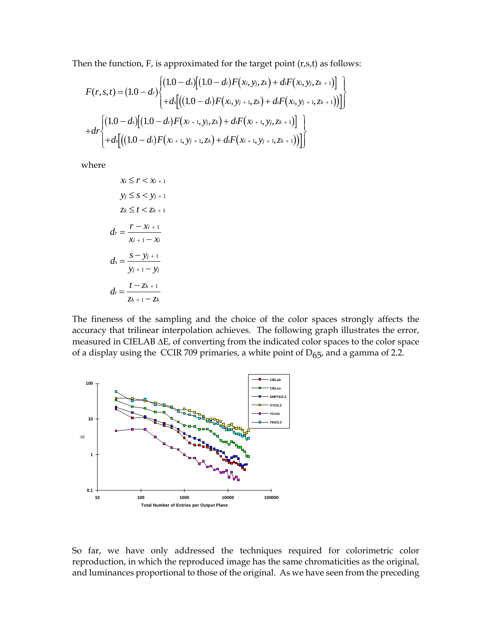Then the function, F, is approximated for the target point (r,s,t) as follows:

$$
F(r,s,t) = (1.0-dr) \begin{cases} (1.0-ds) [(1.0-dt) F(xi, yj, zk) + di F(xi, yj, zk+1)] + ds [(1.0-dt) F(xi, yj+1, zk) + di F(xi, yj+1, zk+1)] \end{cases}
$$
  
+ 
$$
dr \begin{cases} (1.0-ds) [(1.0-dt) F(xi+1, yj, zk) + di F(xi+1, yj, zk+1)] + ds [(1.0-dt) F(xi+1, yj+1, zk) + di F(xi+1, yj+1, zk+1))] \end{cases}
$$

where

$$
x_i \le r < x_{i+1}
$$
\n
$$
y_j \le s < y_{j+1}
$$
\n
$$
z_k \le t < z_{k+1}
$$
\n
$$
d_r = \frac{r - x_{i+1}}{x_{i+1} - x_i}
$$
\n
$$
d_s = \frac{s - y_{j+1}}{y_{j+1} - y_j}
$$
\n
$$
d_t = \frac{t - z_{k+1}}{z_{k+1} - z_k}
$$

The fineness of the sampling and the choice of the color spaces strongly affects the accuracy that trilinear interpolation achieves. The following graph illustrates the error, measured in CIELAB ∆E, of converting from the indicated color spaces to the color space of a display using the CCIR 709 primaries, a white point of  $D_{65}$ , and a gamma of 2.2.



So far, we have only addressed the techniques required for colorimetric color reproduction, in which the reproduced image has the same chromaticities as the original, and luminances proportional to those of the original. As we have seen from the preceding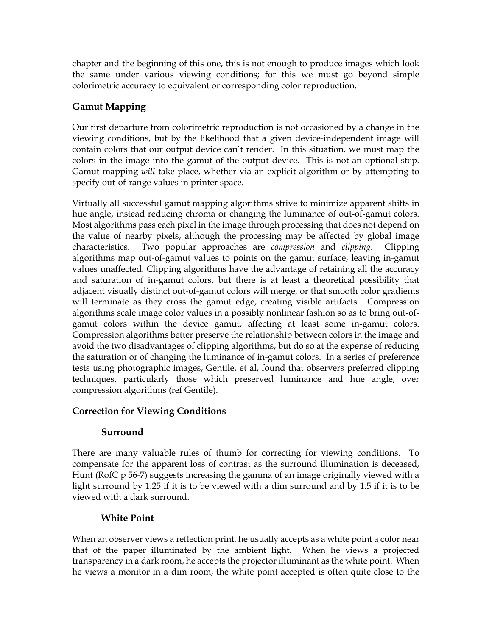chapter and the beginning of this one, this is not enough to produce images which look the same under various viewing conditions; for this we must go beyond simple colorimetric accuracy to equivalent or corresponding color reproduction.

# **Gamut Mapping**

Our first departure from colorimetric reproduction is not occasioned by a change in the viewing conditions, but by the likelihood that a given device-independent image will contain colors that our output device can't render. In this situation, we must map the colors in the image into the gamut of the output device. This is not an optional step. Gamut mapping *will* take place, whether via an explicit algorithm or by attempting to specify out-of-range values in printer space.

Virtually all successful gamut mapping algorithms strive to minimize apparent shifts in hue angle, instead reducing chroma or changing the luminance of out-of-gamut colors. Most algorithms pass each pixel in the image through processing that does not depend on the value of nearby pixels, although the processing may be affected by global image characteristics. Two popular approaches are *compression* and *clipping*. Clipping algorithms map out-of-gamut values to points on the gamut surface, leaving in-gamut values unaffected. Clipping algorithms have the advantage of retaining all the accuracy and saturation of in-gamut colors, but there is at least a theoretical possibility that adjacent visually distinct out-of-gamut colors will merge, or that smooth color gradients will terminate as they cross the gamut edge, creating visible artifacts. Compression algorithms scale image color values in a possibly nonlinear fashion so as to bring out-ofgamut colors within the device gamut, affecting at least some in-gamut colors. Compression algorithms better preserve the relationship between colors in the image and avoid the two disadvantages of clipping algorithms, but do so at the expense of reducing the saturation or of changing the luminance of in-gamut colors. In a series of preference tests using photographic images, Gentile, et al, found that observers preferred clipping techniques, particularly those which preserved luminance and hue angle, over compression algorithms (ref Gentile).

# **Correction for Viewing Conditions**

# **Surround**

There are many valuable rules of thumb for correcting for viewing conditions. To compensate for the apparent loss of contrast as the surround illumination is deceased, Hunt (RofC p 56-7) suggests increasing the gamma of an image originally viewed with a light surround by 1.25 if it is to be viewed with a dim surround and by 1.5 if it is to be viewed with a dark surround.

# **White Point**

When an observer views a reflection print, he usually accepts as a white point a color near that of the paper illuminated by the ambient light. When he views a projected transparency in a dark room, he accepts the projector illuminant as the white point. When he views a monitor in a dim room, the white point accepted is often quite close to the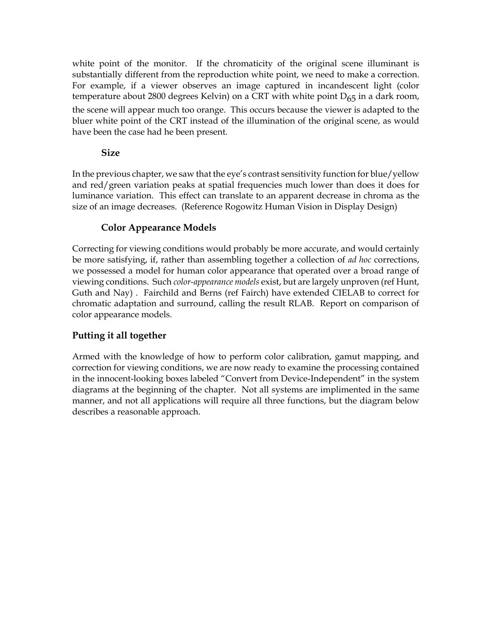white point of the monitor. If the chromaticity of the original scene illuminant is substantially different from the reproduction white point, we need to make a correction. For example, if a viewer observes an image captured in incandescent light (color temperature about 2800 degrees Kelvin) on a CRT with white point  $D_{65}$  in a dark room, the scene will appear much too orange. This occurs because the viewer is adapted to the bluer white point of the CRT instead of the illumination of the original scene, as would have been the case had he been present.

## **Size**

In the previous chapter, we saw that the eye's contrast sensitivity function for blue/yellow and red/green variation peaks at spatial frequencies much lower than does it does for luminance variation. This effect can translate to an apparent decrease in chroma as the size of an image decreases. (Reference Rogowitz Human Vision in Display Design)

# **Color Appearance Models**

Correcting for viewing conditions would probably be more accurate, and would certainly be more satisfying, if, rather than assembling together a collection of *ad hoc* corrections, we possessed a model for human color appearance that operated over a broad range of viewing conditions. Such *color-appearance models* exist, but are largely unproven (ref Hunt, Guth and Nay) . Fairchild and Berns (ref Fairch) have extended CIELAB to correct for chromatic adaptation and surround, calling the result RLAB. Report on comparison of color appearance models.

# **Putting it all together**

Armed with the knowledge of how to perform color calibration, gamut mapping, and correction for viewing conditions, we are now ready to examine the processing contained in the innocent-looking boxes labeled "Convert from Device-Independent" in the system diagrams at the beginning of the chapter. Not all systems are implimented in the same manner, and not all applications will require all three functions, but the diagram below describes a reasonable approach.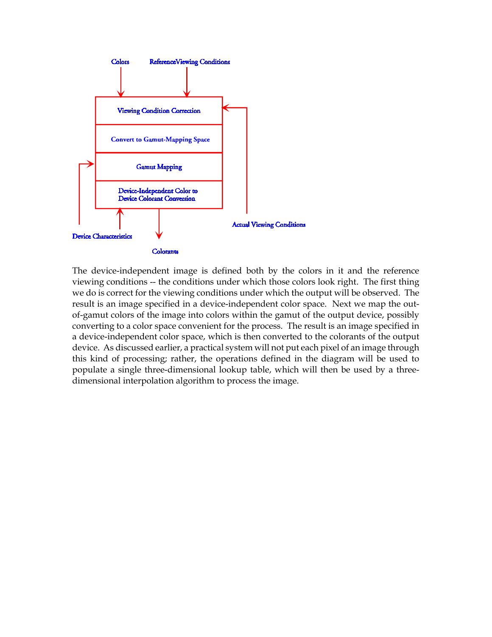

The device-independent image is defined both by the colors in it and the reference viewing conditions -- the conditions under which those colors look right. The first thing we do is correct for the viewing conditions under which the output will be observed. The result is an image specified in a device-independent color space. Next we map the outof-gamut colors of the image into colors within the gamut of the output device, possibly converting to a color space convenient for the process. The result is an image specified in a device-independent color space, which is then converted to the colorants of the output device. As discussed earlier, a practical system will not put each pixel of an image through this kind of processing; rather, the operations defined in the diagram will be used to populate a single three-dimensional lookup table, which will then be used by a threedimensional interpolation algorithm to process the image.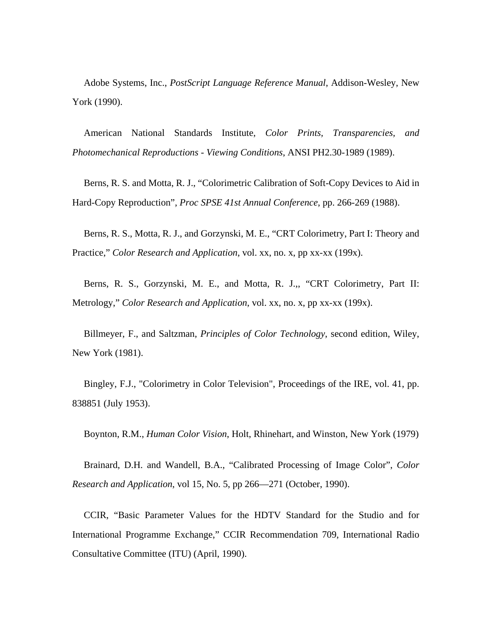Adobe Systems, Inc., *PostScript Language Reference Manual*, Addison-Wesley, New York (1990).

American National Standards Institute, *Color Prints, Transparencies, and Photomechanical Reproductions - Viewing Conditions*, ANSI PH2.30-1989 (1989).

Berns, R. S. and Motta, R. J., "Colorimetric Calibration of Soft-Copy Devices to Aid in Hard-Copy Reproduction", *Proc SPSE 41st Annual Conference*, pp. 266-269 (1988).

Berns, R. S., Motta, R. J., and Gorzynski, M. E., "CRT Colorimetry, Part I: Theory and Practice," *Color Research and Application*, vol. xx, no. x, pp xx-xx (199x).

Berns, R. S., Gorzynski, M. E., and Motta, R. J.,, "CRT Colorimetry, Part II: Metrology," *Color Research and Application*, vol. xx, no. x, pp xx-xx (199x).

Billmeyer, F., and Saltzman, *Principles of Color Technology*, second edition, Wiley, New York (1981).

Bingley, F.J., "Colorimetry in Color Television", Proceedings of the IRE, vol. 41, pp. 838851 (July 1953).

Boynton, R.M., *Human Color Vision*, Holt, Rhinehart, and Winston, New York (1979)

Brainard, D.H. and Wandell, B.A., "Calibrated Processing of Image Color", *Color Research and Application*, vol 15, No. 5, pp 266—271 (October, 1990).

CCIR, "Basic Parameter Values for the HDTV Standard for the Studio and for International Programme Exchange," CCIR Recommendation 709, International Radio Consultative Committee (ITU) (April, 1990).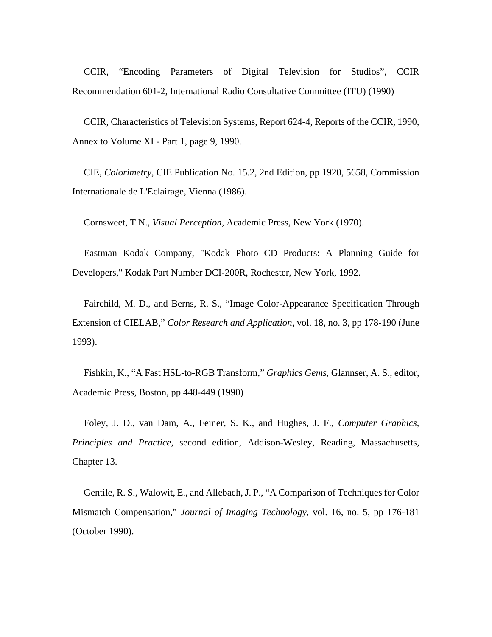CCIR, "Encoding Parameters of Digital Television for Studios", CCIR Recommendation 601-2, International Radio Consultative Committee (ITU) (1990)

CCIR, Characteristics of Television Systems, Report 624-4, Reports of the CCIR, 1990, Annex to Volume XI - Part 1, page 9, 1990.

CIE, *Colorimetry*, CIE Publication No. 15.2, 2nd Edition, pp 1920, 5658, Commission Internationale de L'Eclairage, Vienna (1986).

Cornsweet, T.N., *Visual Perception*, Academic Press, New York (1970).

Eastman Kodak Company, "Kodak Photo CD Products: A Planning Guide for Developers," Kodak Part Number DCI-200R, Rochester, New York, 1992.

Fairchild, M. D., and Berns, R. S., "Image Color-Appearance Specification Through Extension of CIELAB," *Color Research and Application*, vol. 18, no. 3, pp 178-190 (June 1993).

Fishkin, K., "A Fast HSL-to-RGB Transform," *Graphics Gems*, Glannser, A. S., editor, Academic Press, Boston, pp 448-449 (1990)

Foley, J. D., van Dam, A., Feiner, S. K., and Hughes, J. F., *Computer Graphics, Principles and Practice*, second edition, Addison-Wesley, Reading, Massachusetts, Chapter 13.

Gentile, R. S., Walowit, E., and Allebach, J. P., "A Comparison of Techniques for Color Mismatch Compensation," *Journal of Imaging Technology*, vol. 16, no. 5, pp 176-181 (October 1990).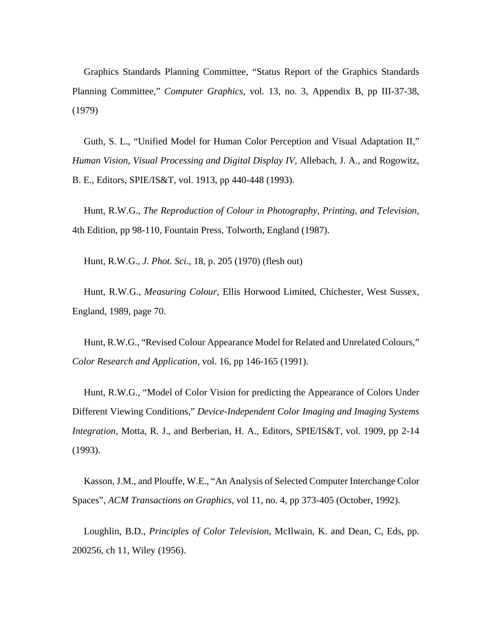Graphics Standards Planning Committee, "Status Report of the Graphics Standards Planning Committee," *Computer Graphics*, vol. 13, no. 3, Appendix B, pp III-37-38, (1979)

Guth, S. L., "Unified Model for Human Color Perception and Visual Adaptation II," *Human Vision, Visual Processing and Digital Display IV*, Allebach, J. A., and Rogowitz, B. E., Editors, SPIE/IS&T, vol. 1913, pp 440-448 (1993).

Hunt, R.W.G., *The Reproduction of Colour in Photography, Printing, and Television*, 4th Edition, pp 98-110, Fountain Press, Tolworth, England (1987).

Hunt, R.W.G., *J. Phot. Sci.*, 18, p. 205 (1970) (flesh out)

Hunt, R.W.G., *Measuring Colour*, Ellis Horwood Limited, Chichester, West Sussex, England, 1989, page 70.

Hunt, R.W.G., "Revised Colour Appearance Model for Related and Unrelated Colours," *Color Research and Application*, vol. 16, pp 146-165 (1991).

Hunt, R.W.G., "Model of Color Vision for predicting the Appearance of Colors Under Different Viewing Conditions," *Device-Independent Color Imaging and Imaging Systems Integration*, Motta, R. J., and Berberian, H. A., Editors, SPIE/IS&T, vol. 1909, pp 2-14 (1993).

Kasson, J.M., and Plouffe, W.E., "An Analysis of Selected Computer Interchange Color Spaces", *ACM Transactions on Graphics*, vol 11, no. 4, pp 373-405 (October, 1992).

Loughlin, B.D., *Principles of Color Television*, McIlwain, K. and Dean, C, Eds, pp. 200256, ch 11, Wiley (1956).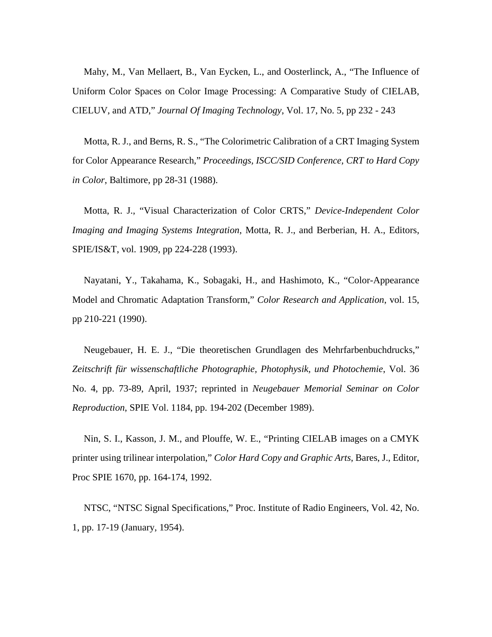Mahy, M., Van Mellaert, B., Van Eycken, L., and Oosterlinck, A., "The Influence of Uniform Color Spaces on Color Image Processing: A Comparative Study of CIELAB, CIELUV, and ATD," *Journal Of Imaging Technology*, Vol. 17, No. 5, pp 232 - 243

Motta, R. J., and Berns, R. S., "The Colorimetric Calibration of a CRT Imaging System for Color Appearance Research," *Proceedings, ISCC/SID Conference, CRT to Hard Copy in Color*, Baltimore, pp 28-31 (1988).

Motta, R. J., "Visual Characterization of Color CRTS," *Device-Independent Color Imaging and Imaging Systems Integration*, Motta, R. J., and Berberian, H. A., Editors, SPIE/IS&T, vol. 1909, pp 224-228 (1993).

Nayatani, Y., Takahama, K., Sobagaki, H., and Hashimoto, K., "Color-Appearance Model and Chromatic Adaptation Transform," *Color Research and Application*, vol. 15, pp 210-221 (1990).

Neugebauer, H. E. J., "Die theoretischen Grundlagen des Mehrfarbenbuchdrucks," *Zeitschrift für wissenschaftliche Photographie, Photophysik, und Photochemie*, Vol. 36 No. 4, pp. 73-89, April, 1937; reprinted in *Neugebauer Memorial Seminar on Color Reproduction*, SPIE Vol. 1184, pp. 194-202 (December 1989).

Nin, S. I., Kasson, J. M., and Plouffe, W. E., "Printing CIELAB images on a CMYK printer using trilinear interpolation," *Color Hard Copy and Graphic Arts*, Bares, J., Editor, Proc SPIE 1670, pp. 164-174, 1992.

NTSC, "NTSC Signal Specifications," Proc. Institute of Radio Engineers, Vol. 42, No. 1, pp. 17-19 (January, 1954).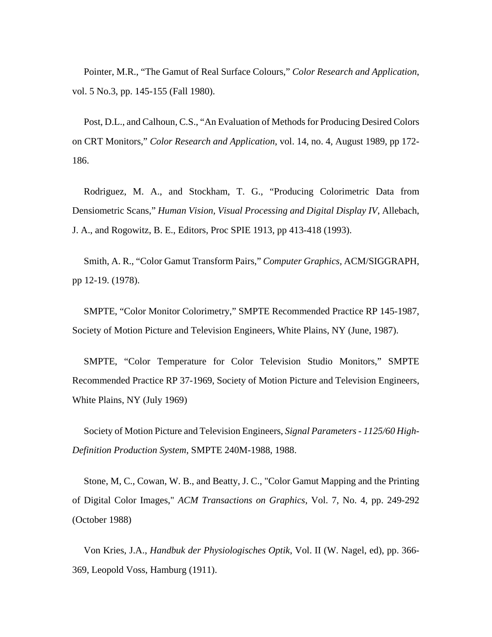Pointer, M.R., "The Gamut of Real Surface Colours," *Color Research and Application*, vol. 5 No.3, pp. 145-155 (Fall 1980).

Post, D.L., and Calhoun, C.S., "An Evaluation of Methods for Producing Desired Colors on CRT Monitors," *Color Research and Application*, vol. 14, no. 4, August 1989, pp 172- 186.

Rodriguez, M. A., and Stockham, T. G., "Producing Colorimetric Data from Densiometric Scans," *Human Vision, Visual Processing and Digital Display IV*, Allebach, J. A., and Rogowitz, B. E., Editors, Proc SPIE 1913, pp 413-418 (1993).

Smith, A. R., "Color Gamut Transform Pairs," *Computer Graphics,* ACM/SIGGRAPH, pp 12-19. (1978).

SMPTE, "Color Monitor Colorimetry," SMPTE Recommended Practice RP 145-1987, Society of Motion Picture and Television Engineers, White Plains, NY (June, 1987).

SMPTE, "Color Temperature for Color Television Studio Monitors," SMPTE Recommended Practice RP 37-1969, Society of Motion Picture and Television Engineers, White Plains, NY (July 1969)

Society of Motion Picture and Television Engineers, *Signal Parameters - 1125/60 High-Definition Production System*, SMPTE 240M-1988, 1988.

Stone, M, C., Cowan, W. B., and Beatty, J. C., "Color Gamut Mapping and the Printing of Digital Color Images," *ACM Transactions on Graphics*, Vol. 7, No. 4, pp. 249-292 (October 1988)

Von Kries, J.A., *Handbuk der Physiologisches Optik*, Vol. II (W. Nagel, ed), pp. 366- 369, Leopold Voss, Hamburg (1911).